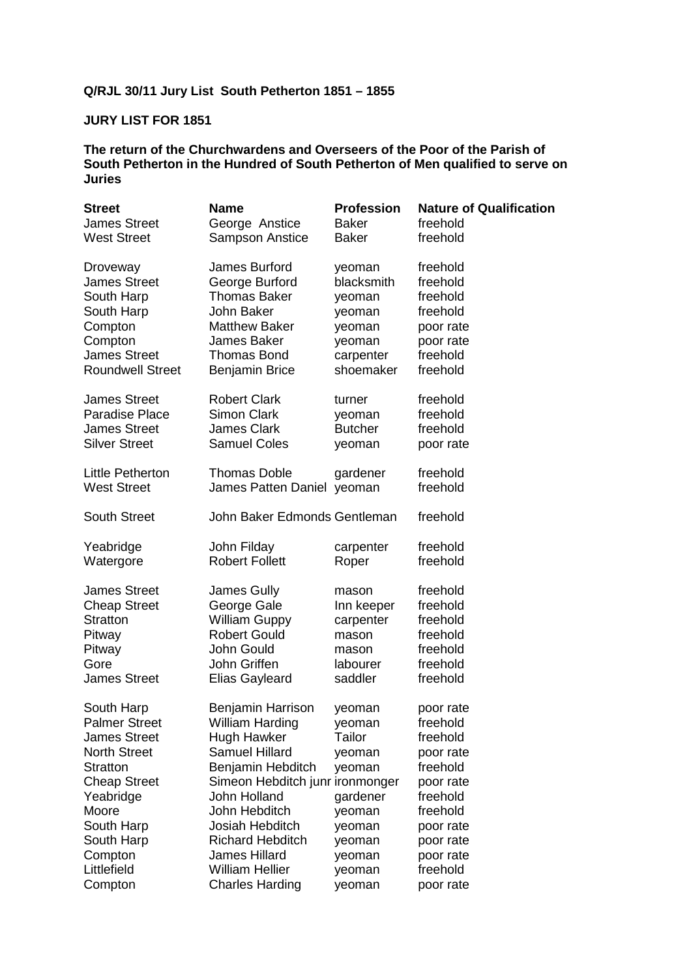# **Q/RJL 30/11 Jury List South Petherton 1851 – 1855**

## **JURY LIST FOR 1851**

| <b>Name</b>                                                                                                                                                                                                                        | <b>Profession</b>                                                                                            | <b>Nature of Qualification</b>                                                                                                                                  |
|------------------------------------------------------------------------------------------------------------------------------------------------------------------------------------------------------------------------------------|--------------------------------------------------------------------------------------------------------------|-----------------------------------------------------------------------------------------------------------------------------------------------------------------|
| George Anstice                                                                                                                                                                                                                     | <b>Baker</b>                                                                                                 | freehold                                                                                                                                                        |
| Sampson Anstice                                                                                                                                                                                                                    | <b>Baker</b>                                                                                                 | freehold                                                                                                                                                        |
| James Burford                                                                                                                                                                                                                      | yeoman                                                                                                       | freehold                                                                                                                                                        |
| George Burford                                                                                                                                                                                                                     | blacksmith                                                                                                   | freehold                                                                                                                                                        |
| <b>Thomas Baker</b>                                                                                                                                                                                                                | yeoman                                                                                                       | freehold                                                                                                                                                        |
| John Baker                                                                                                                                                                                                                         | yeoman                                                                                                       | freehold                                                                                                                                                        |
| <b>Matthew Baker</b>                                                                                                                                                                                                               | yeoman                                                                                                       | poor rate                                                                                                                                                       |
| <b>James Baker</b>                                                                                                                                                                                                                 | yeoman                                                                                                       | poor rate                                                                                                                                                       |
| <b>Thomas Bond</b>                                                                                                                                                                                                                 | carpenter                                                                                                    | freehold                                                                                                                                                        |
| <b>Benjamin Brice</b>                                                                                                                                                                                                              | shoemaker                                                                                                    | freehold                                                                                                                                                        |
| <b>Robert Clark</b>                                                                                                                                                                                                                | turner                                                                                                       | freehold                                                                                                                                                        |
| <b>Simon Clark</b>                                                                                                                                                                                                                 | yeoman                                                                                                       | freehold                                                                                                                                                        |
| <b>James Clark</b>                                                                                                                                                                                                                 | <b>Butcher</b>                                                                                               | freehold                                                                                                                                                        |
| <b>Samuel Coles</b>                                                                                                                                                                                                                | yeoman                                                                                                       | poor rate                                                                                                                                                       |
| <b>Thomas Doble</b>                                                                                                                                                                                                                | gardener                                                                                                     | freehold<br>freehold                                                                                                                                            |
|                                                                                                                                                                                                                                    |                                                                                                              | freehold                                                                                                                                                        |
| John Filday                                                                                                                                                                                                                        | carpenter                                                                                                    | freehold                                                                                                                                                        |
| <b>Robert Follett</b>                                                                                                                                                                                                              | Roper                                                                                                        | freehold                                                                                                                                                        |
| James Gully                                                                                                                                                                                                                        | mason                                                                                                        | freehold                                                                                                                                                        |
| George Gale                                                                                                                                                                                                                        | Inn keeper                                                                                                   | freehold                                                                                                                                                        |
| <b>William Guppy</b>                                                                                                                                                                                                               | carpenter                                                                                                    | freehold                                                                                                                                                        |
| <b>Robert Gould</b>                                                                                                                                                                                                                | mason                                                                                                        | freehold                                                                                                                                                        |
| John Gould                                                                                                                                                                                                                         | mason                                                                                                        | freehold                                                                                                                                                        |
| John Griffen                                                                                                                                                                                                                       | labourer                                                                                                     | freehold                                                                                                                                                        |
| <b>Elias Gayleard</b>                                                                                                                                                                                                              | saddler                                                                                                      | freehold                                                                                                                                                        |
| Benjamin Harrison<br>William Harding<br>Hugh Hawker<br><b>Samuel Hillard</b><br>Benjamin Hebditch<br>John Holland<br>John Hebditch<br>Josiah Hebditch<br><b>Richard Hebditch</b><br><b>James Hillard</b><br><b>William Hellier</b> | yeoman<br>yeoman<br>Tailor<br>yeoman<br>yeoman<br>gardener<br>yeoman<br>yeoman<br>yeoman<br>yeoman<br>yeoman | poor rate<br>freehold<br>freehold<br>poor rate<br>freehold<br>poor rate<br>freehold<br>freehold<br>poor rate<br>poor rate<br>poor rate<br>freehold<br>poor rate |
|                                                                                                                                                                                                                                    | <b>Charles Harding</b>                                                                                       | James Patten Daniel yeoman<br>John Baker Edmonds Gentleman<br>Simeon Hebditch junr ironmonger<br>yeoman                                                         |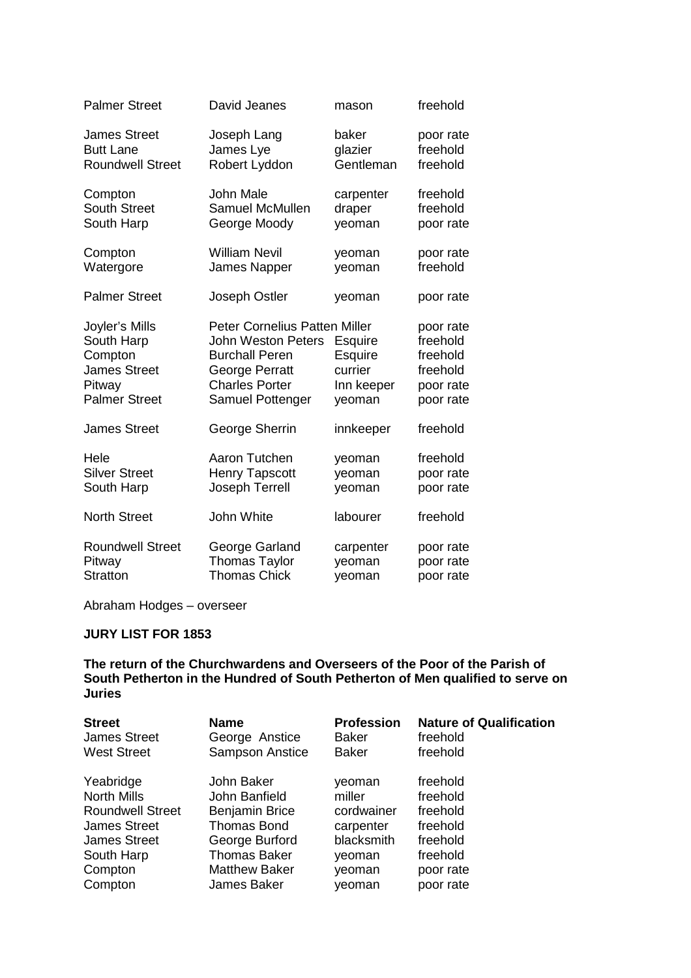| <b>Palmer Street</b>                                                                             | David Jeanes                                                                                                                                              | mason                                                        | freehold                                                                |
|--------------------------------------------------------------------------------------------------|-----------------------------------------------------------------------------------------------------------------------------------------------------------|--------------------------------------------------------------|-------------------------------------------------------------------------|
| <b>James Street</b>                                                                              | Joseph Lang                                                                                                                                               | baker                                                        | poor rate                                                               |
| <b>Butt Lane</b>                                                                                 | James Lye                                                                                                                                                 | glazier                                                      | freehold                                                                |
| <b>Roundwell Street</b>                                                                          | Robert Lyddon                                                                                                                                             | Gentleman                                                    | freehold                                                                |
| Compton                                                                                          | John Male                                                                                                                                                 | carpenter                                                    | freehold                                                                |
| <b>South Street</b>                                                                              | <b>Samuel McMullen</b>                                                                                                                                    | draper                                                       | freehold                                                                |
| South Harp                                                                                       | George Moody                                                                                                                                              | yeoman                                                       | poor rate                                                               |
| Compton                                                                                          | <b>William Nevil</b>                                                                                                                                      | yeoman                                                       | poor rate                                                               |
| Watergore                                                                                        | James Napper                                                                                                                                              | yeoman                                                       | freehold                                                                |
| <b>Palmer Street</b>                                                                             | Joseph Ostler                                                                                                                                             | yeoman                                                       | poor rate                                                               |
| Joyler's Mills<br>South Harp<br>Compton<br><b>James Street</b><br>Pitway<br><b>Palmer Street</b> | <b>Peter Cornelius Patten Miller</b><br><b>John Weston Peters</b><br><b>Burchall Peren</b><br>George Perratt<br><b>Charles Porter</b><br>Samuel Pottenger | Esquire<br><b>Esquire</b><br>currier<br>Inn keeper<br>yeoman | poor rate<br>freehold<br>freehold<br>freehold<br>poor rate<br>poor rate |
| <b>James Street</b>                                                                              | George Sherrin                                                                                                                                            | innkeeper                                                    | freehold                                                                |
| Hele                                                                                             | Aaron Tutchen                                                                                                                                             | yeoman                                                       | freehold                                                                |
| <b>Silver Street</b>                                                                             | <b>Henry Tapscott</b>                                                                                                                                     | yeoman                                                       | poor rate                                                               |
| South Harp                                                                                       | Joseph Terrell                                                                                                                                            | yeoman                                                       | poor rate                                                               |
| <b>North Street</b>                                                                              | John White                                                                                                                                                | labourer                                                     | freehold                                                                |
| <b>Roundwell Street</b>                                                                          | George Garland                                                                                                                                            | carpenter                                                    | poor rate                                                               |
| Pitway                                                                                           | <b>Thomas Taylor</b>                                                                                                                                      | yeoman                                                       | poor rate                                                               |
| Stratton                                                                                         | <b>Thomas Chick</b>                                                                                                                                       | yeoman                                                       | poor rate                                                               |

# **JURY LIST FOR 1853**

| <b>Street</b>           | <b>Name</b>            | <b>Profession</b> | <b>Nature of Qualification</b> |
|-------------------------|------------------------|-------------------|--------------------------------|
| <b>James Street</b>     | George Anstice         | <b>Baker</b>      | freehold                       |
| <b>West Street</b>      | <b>Sampson Anstice</b> | <b>Baker</b>      | freehold                       |
| Yeabridge               | John Baker             | veoman            | freehold                       |
| <b>North Mills</b>      | John Banfield          | miller            | freehold                       |
| <b>Roundwell Street</b> | <b>Benjamin Brice</b>  | cordwainer        | freehold                       |
| <b>James Street</b>     | <b>Thomas Bond</b>     | carpenter         | freehold                       |
| <b>James Street</b>     | George Burford         | blacksmith        | freehold                       |
| South Harp              | <b>Thomas Baker</b>    | veoman            | freehold                       |
| Compton                 | <b>Matthew Baker</b>   | yeoman            | poor rate                      |
| Compton                 | James Baker            | veoman            | poor rate                      |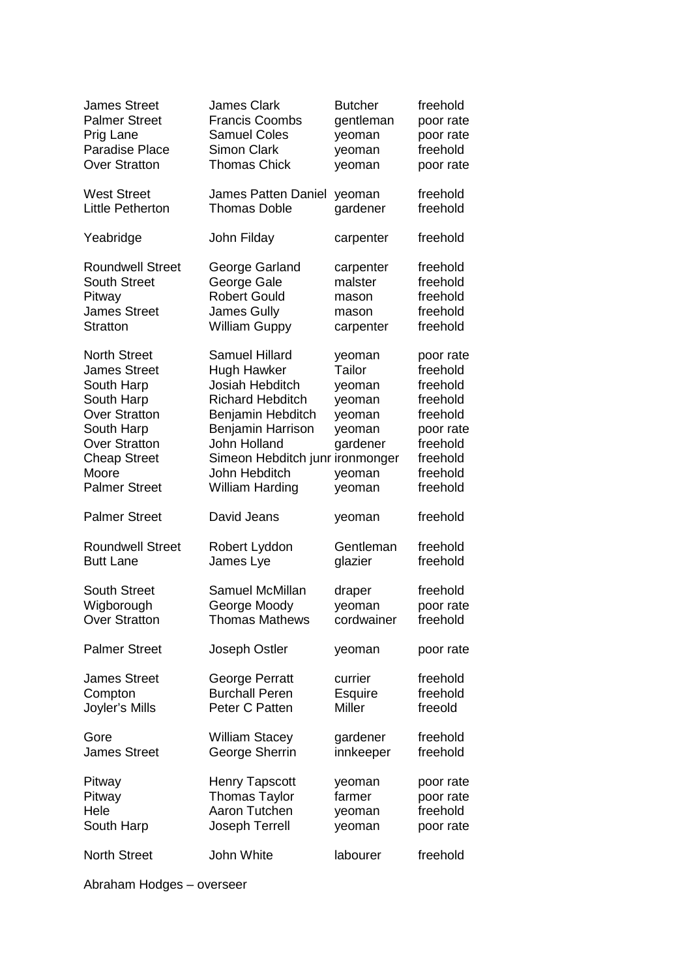| <b>James Street</b>     | <b>James Clark</b>         | <b>Butcher</b> | freehold  |
|-------------------------|----------------------------|----------------|-----------|
| <b>Palmer Street</b>    | <b>Francis Coombs</b>      | gentleman      | poor rate |
| Prig Lane               | <b>Samuel Coles</b>        | yeoman         | poor rate |
| <b>Paradise Place</b>   | <b>Simon Clark</b>         | yeoman         | freehold  |
| <b>Over Stratton</b>    | <b>Thomas Chick</b>        | yeoman         | poor rate |
| <b>West Street</b>      | <b>James Patten Daniel</b> | yeoman         | freehold  |
| <b>Little Petherton</b> | <b>Thomas Doble</b>        | gardener       | freehold  |
| Yeabridge               | John Filday                | carpenter      | freehold  |
| <b>Roundwell Street</b> | George Garland             | carpenter      | freehold  |
| <b>South Street</b>     | George Gale                | malster        | freehold  |
| Pitway                  | <b>Robert Gould</b>        | mason          | freehold  |
| <b>James Street</b>     | <b>James Gully</b>         | mason          | freehold  |
| <b>Stratton</b>         | <b>William Guppy</b>       | carpenter      | freehold  |
| <b>North Street</b>     | <b>Samuel Hillard</b>      | yeoman         | poor rate |
| <b>James Street</b>     | Hugh Hawker                | Tailor         | freehold  |
| South Harp              | Josiah Hebditch            | yeoman         | freehold  |
| South Harp              | <b>Richard Hebditch</b>    | yeoman         | freehold  |
| <b>Over Stratton</b>    | Benjamin Hebditch          | yeoman         | freehold  |
| South Harp              | Benjamin Harrison          | yeoman         | poor rate |
| <b>Over Stratton</b>    | John Holland               | gardener       | freehold  |
| <b>Cheap Street</b>     | Simeon Hebditch junr       | ironmonger     | freehold  |
| Moore                   | John Hebditch              | yeoman         | freehold  |
| <b>Palmer Street</b>    | <b>William Harding</b>     | yeoman         | freehold  |
| <b>Palmer Street</b>    | David Jeans                | yeoman         | freehold  |
| <b>Roundwell Street</b> | Robert Lyddon              | Gentleman      | freehold  |
| <b>Butt Lane</b>        | James Lye                  | glazier        | freehold  |
| <b>South Street</b>     | Samuel McMillan            | draper         | freehold  |
| Wigborough              | George Moody               | yeoman         | poor rate |
| Over Stratton           | Thomas Mathews             | cordwainer     | freehold  |
| <b>Palmer Street</b>    | Joseph Ostler              | yeoman         | poor rate |
| <b>James Street</b>     | George Perratt             | currier        | freehold  |
| Compton                 | <b>Burchall Peren</b>      | Esquire        | freehold  |
| Joyler's Mills          | Peter C Patten             | Miller         | freeold   |
| Gore                    | <b>William Stacey</b>      | gardener       | freehold  |
| <b>James Street</b>     | George Sherrin             | innkeeper      | freehold  |
| Pitway                  | <b>Henry Tapscott</b>      | yeoman         | poor rate |
| Pitway                  | <b>Thomas Taylor</b>       | farmer         | poor rate |
| Hele                    | Aaron Tutchen              | yeoman         | freehold  |
| South Harp              | Joseph Terrell             | yeoman         | poor rate |
| <b>North Street</b>     | John White                 | labourer       | freehold  |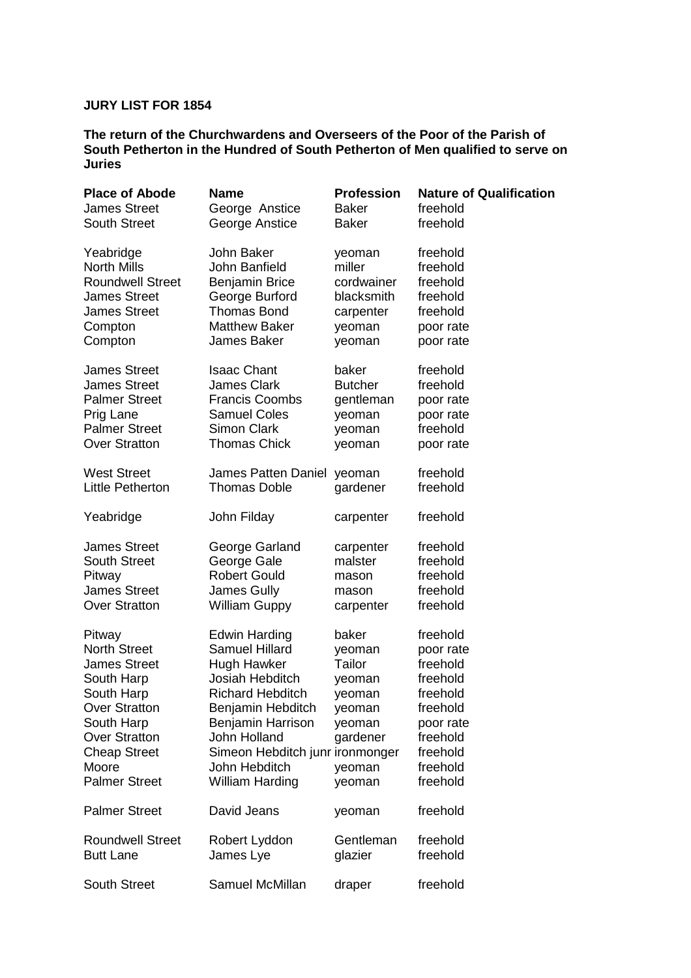#### **JURY LIST FOR 1854**

| <b>Place of Abode</b>   | <b>Name</b>                     | <b>Profession</b> | <b>Nature of Qualification</b> |
|-------------------------|---------------------------------|-------------------|--------------------------------|
| <b>James Street</b>     | George Anstice                  | <b>Baker</b>      | freehold                       |
| <b>South Street</b>     | George Anstice                  | <b>Baker</b>      | freehold                       |
| Yeabridge               | John Baker                      | yeoman            | freehold                       |
| <b>North Mills</b>      | John Banfield                   | miller            | freehold                       |
| <b>Roundwell Street</b> | <b>Benjamin Brice</b>           | cordwainer        | freehold                       |
| <b>James Street</b>     | George Burford                  | blacksmith        | freehold                       |
| <b>James Street</b>     | <b>Thomas Bond</b>              | carpenter         | freehold                       |
| Compton                 | <b>Matthew Baker</b>            | yeoman            | poor rate                      |
| Compton                 | James Baker                     | yeoman            | poor rate                      |
| <b>James Street</b>     | <b>Isaac Chant</b>              | baker             | freehold                       |
| <b>James Street</b>     | <b>James Clark</b>              | <b>Butcher</b>    | freehold                       |
| <b>Palmer Street</b>    | <b>Francis Coombs</b>           | gentleman         | poor rate                      |
| Prig Lane               | <b>Samuel Coles</b>             | yeoman            | poor rate                      |
| <b>Palmer Street</b>    | <b>Simon Clark</b>              | yeoman            | freehold                       |
| <b>Over Stratton</b>    | <b>Thomas Chick</b>             | yeoman            | poor rate                      |
| <b>West Street</b>      | James Patten Daniel             | yeoman            | freehold                       |
| Little Petherton        | <b>Thomas Doble</b>             | gardener          | freehold                       |
| Yeabridge               | John Filday                     | carpenter         | freehold                       |
| <b>James Street</b>     | George Garland                  | carpenter         | freehold                       |
| <b>South Street</b>     | George Gale                     | malster           | freehold                       |
| Pitway                  | <b>Robert Gould</b>             | mason             | freehold                       |
| <b>James Street</b>     | James Gully                     | mason             | freehold                       |
| <b>Over Stratton</b>    | <b>William Guppy</b>            | carpenter         | freehold                       |
| Pitway                  | Edwin Harding                   | baker             | freehold                       |
| <b>North Street</b>     | <b>Samuel Hillard</b>           | yeoman            | poor rate                      |
| <b>James Street</b>     | <b>Hugh Hawker</b>              | Tailor            | freehold                       |
| South Harp              | Josiah Hebditch                 | yeoman            | freehold                       |
| South Harp              | <b>Richard Hebditch</b>         | yeoman            | freehold                       |
| <b>Over Stratton</b>    | Benjamin Hebditch               | yeoman            | freehold                       |
| South Harp              | Benjamin Harrison               | yeoman            | poor rate                      |
| <b>Over Stratton</b>    | John Holland                    | gardener          | freehold                       |
| <b>Cheap Street</b>     | Simeon Hebditch junr ironmonger |                   | freehold                       |
| Moore                   | John Hebditch                   | yeoman            | freehold                       |
| <b>Palmer Street</b>    | <b>William Harding</b>          | yeoman            | freehold                       |
| <b>Palmer Street</b>    | David Jeans                     | yeoman            | freehold                       |
| <b>Roundwell Street</b> | Robert Lyddon                   | Gentleman         | freehold                       |
| <b>Butt Lane</b>        | James Lye                       | glazier           | freehold                       |
| <b>South Street</b>     | Samuel McMillan                 | draper            | freehold                       |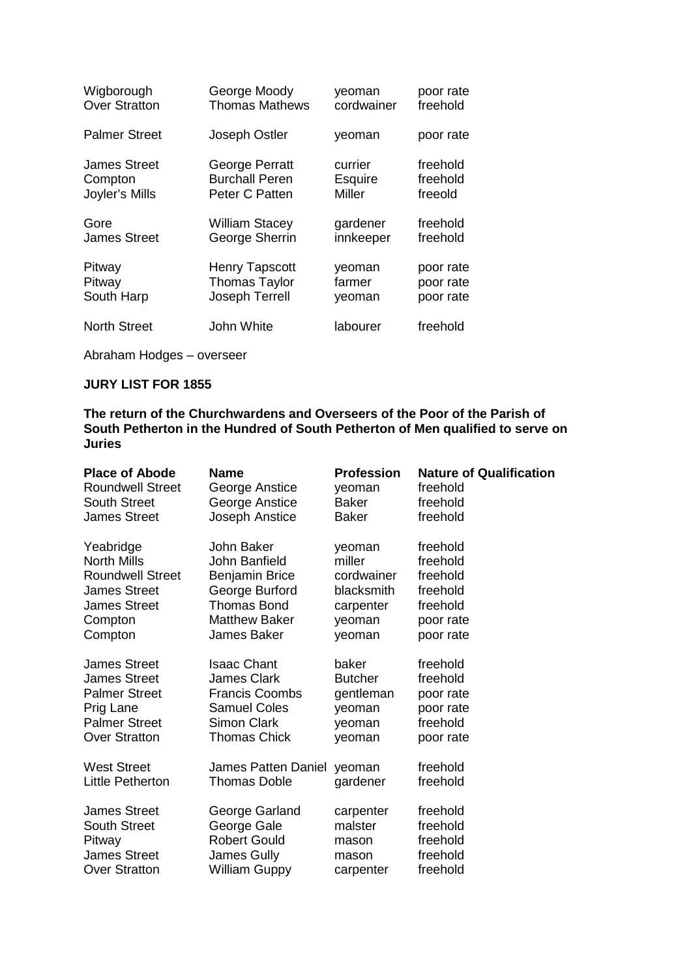| Wigborough           | George Moody          | yeoman         | poor rate |
|----------------------|-----------------------|----------------|-----------|
| <b>Over Stratton</b> | <b>Thomas Mathews</b> | cordwainer     | freehold  |
| <b>Palmer Street</b> | Joseph Ostler         | yeoman         | poor rate |
| <b>James Street</b>  | George Perratt        | currier        | freehold  |
| Compton              | <b>Burchall Peren</b> | <b>Esquire</b> | freehold  |
| Joyler's Mills       | Peter C Patten        | <b>Miller</b>  | freeold   |
| Gore                 | <b>William Stacey</b> | gardener       | freehold  |
| <b>James Street</b>  | George Sherrin        | innkeeper      | freehold  |
| Pitway               | <b>Henry Tapscott</b> | yeoman         | poor rate |
| Pitway               | <b>Thomas Taylor</b>  | farmer         | poor rate |
| South Harp           | Joseph Terrell        | yeoman         | poor rate |
| <b>North Street</b>  | John White            | labourer       | freehold  |

## **JURY LIST FOR 1855**

| <b>Place of Abode</b>   | <b>Name</b>                | <b>Profession</b> | <b>Nature of Qualification</b> |
|-------------------------|----------------------------|-------------------|--------------------------------|
| <b>Roundwell Street</b> | George Anstice             | yeoman            | freehold                       |
| <b>South Street</b>     | George Anstice             | <b>Baker</b>      | freehold                       |
| <b>James Street</b>     | Joseph Anstice             | <b>Baker</b>      | freehold                       |
| Yeabridge               | John Baker                 | yeoman            | freehold                       |
| <b>North Mills</b>      | John Banfield              | miller            | freehold                       |
| <b>Roundwell Street</b> | <b>Benjamin Brice</b>      | cordwainer        | freehold                       |
| <b>James Street</b>     | George Burford             | blacksmith        | freehold                       |
| <b>James Street</b>     | <b>Thomas Bond</b>         | carpenter         | freehold                       |
| Compton                 | <b>Matthew Baker</b>       | yeoman            | poor rate                      |
| Compton                 | <b>James Baker</b>         | yeoman            | poor rate                      |
| <b>James Street</b>     | <b>Isaac Chant</b>         | baker             | freehold                       |
| <b>James Street</b>     | <b>James Clark</b>         | <b>Butcher</b>    | freehold                       |
| <b>Palmer Street</b>    | <b>Francis Coombs</b>      | gentleman         | poor rate                      |
| Prig Lane               | <b>Samuel Coles</b>        | yeoman            | poor rate                      |
| <b>Palmer Street</b>    | <b>Simon Clark</b>         | yeoman            | freehold                       |
| <b>Over Stratton</b>    | <b>Thomas Chick</b>        | yeoman            | poor rate                      |
| <b>West Street</b>      | <b>James Patten Daniel</b> | yeoman            | freehold                       |
| Little Petherton        | <b>Thomas Doble</b>        | gardener          | freehold                       |
| <b>James Street</b>     | George Garland             | carpenter         | freehold                       |
| <b>South Street</b>     | George Gale                | malster           | freehold                       |
| Pitway                  | <b>Robert Gould</b>        | mason             | freehold                       |
| <b>James Street</b>     | James Gully                | mason             | freehold                       |
| <b>Over Stratton</b>    | <b>William Guppy</b>       | carpenter         | freehold                       |